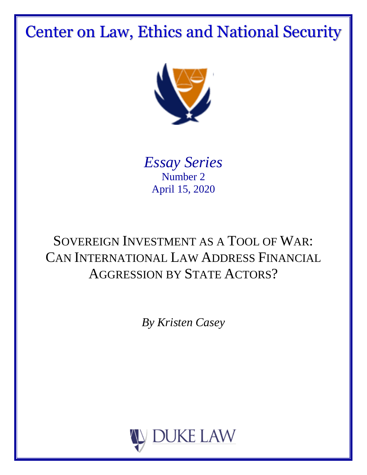# Center on Law, Ethics and National Security



*Essay Series* Number 2 April 15, 2020

# SOVEREIGN INVESTMENT AS A TOOL OF WAR: CAN INTERNATIONAL LAW ADDRESS FINANCIAL AGGRESSION BY STATE ACTORS?

*By Kristen Casey*

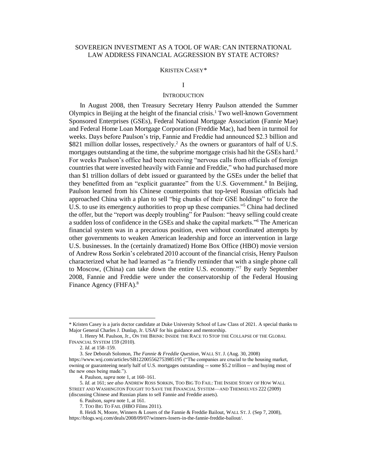# SOVEREIGN INVESTMENT AS A TOOL OF WAR: CAN INTERNATIONAL LAW ADDRESS FINANCIAL AGGRESSION BY STATE ACTORS?

#### KRISTEN CASEY*\**

# I

# **INTRODUCTION**

In August 2008, then Treasury Secretary Henry Paulson attended the Summer Olympics in Beijing at the height of the financial crisis. <sup>1</sup> Two well-known Government Sponsored Enterprises (GSEs), Federal National Mortgage Association (Fannie Mae) and Federal Home Loan Mortgage Corporation (Freddie Mac), had been in turmoil for weeks. Days before Paulson's trip, Fannie and Freddie had announced \$2.3 billion and  $$821$  million dollar losses, respectively.<sup>2</sup> As the owners or guarantors of half of U.S. mortgages outstanding at the time, the subprime mortgage crisis had hit the GSEs hard.<sup>3</sup> For weeks Paulson's office had been receiving "nervous calls from officials of foreign countries that were invested heavily with Fannie and Freddie," who had purchased more than \$1 trillion dollars of debt issued or guaranteed by the GSEs under the belief that they benefitted from an "explicit guarantee" from the U.S. Government. 4 In Beijing, Paulson learned from his Chinese counterpoints that top-level Russian officials had approached China with a plan to sell "big chunks of their GSE holdings" to force the U.S. to use its emergency authorities to prop up these companies."<sup>5</sup> China had declined the offer, but the "report was deeply troubling" for Paulson: "heavy selling could create a sudden loss of confidence in the GSEs and shake the capital markets."<sup>6</sup> The American financial system was in a precarious position, even without coordinated attempts by other governments to weaken American leadership and force an intervention in large U.S. businesses. In the (certainly dramatized) Home Box Office (HBO) movie version of Andrew Ross Sorkin's celebrated 2010 account of the financial crisis, Henry Paulson characterized what he had learned as "a friendly reminder that with a single phone call to Moscow, (China) can take down the entire U.S. economy."<sup>7</sup> By early September 2008, Fannie and Freddie were under the conservatorship of the Federal Housing Finance Agency (FHFA).<sup>8</sup>

<sup>\*</sup> Kristen Casey is a juris doctor candidate at Duke University School of Law Class of 2021. A special thanks to Major General Charles J. Dunlap, Jr. USAF for his guidance and mentorship.

<sup>1.</sup> Henry M. Paulson, Jr., ON THE BRINK: INSIDE THE RACE TO STOP THE COLLAPSE OF THE GLOBAL FINANCIAL SYSTEM 159 (2010).

<sup>2.</sup> *Id.* at 158–159.

<sup>3.</sup> *See* Deborah Solomon, *The Fannie & Freddie Question*, WALL ST. J. (Aug. 30, 2008) https://www.wsj.com/articles/SB122005562753985195 ("The companies are crucial to the housing market, owning or guaranteeing nearly half of U.S. mortgages outstanding -- some \$5.2 trillion -- and buying most of the new ones being made.").

<sup>4.</sup> Paulson, *supra* note 1, at 160–161.

<sup>5.</sup> *Id.* at 161; *see also* ANDREW ROSS SORKIN, TOO BIG TO FAIL: THE INSIDE STORY OF HOW WALL STREET AND WASHINGTON FOUGHT TO SAVE THE FINANCIAL SYSTEM—AND THEMSELVES 222 (2009) (discussing Chinese and Russian plans to sell Fannie and Freddie assets).

<sup>6.</sup> Paulson, *supra* note 1, at 161.

<sup>7.</sup> TOO BIG TO FAIL (HBO Films 2011).

<sup>8.</sup> Heidi N, Moore, Winners & Losers of the Fannie & Freddie Bailout, WALL ST. J. (Sep 7, 2008),

https://blogs.wsj.com/deals/2008/09/07/winners-losers-in-the-fannie-freddie-bailout/.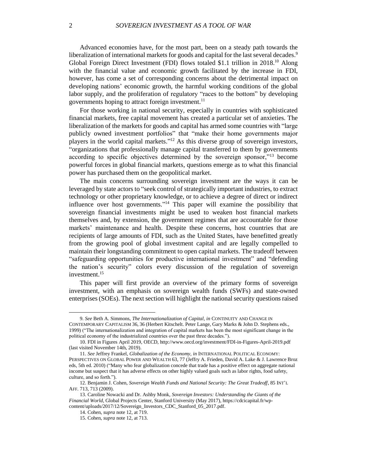Advanced economies have, for the most part, been on a steady path towards the liberalization of international markets for goods and capital for the last several decades.<sup>9</sup> Global Foreign Direct Investment (FDI) flows totaled \$1.1 trillion in 2018.<sup>10</sup> Along with the financial value and economic growth facilitated by the increase in FDI, however, has come a set of corresponding concerns about the detrimental impact on developing nations' economic growth, the harmful working conditions of the global labor supply, and the proliferation of regulatory "races to the bottom" by developing governments hoping to attract foreign investment. 11

For those working in national security, especially in countries with sophisticated financial markets, free capital movement has created a particular set of anxieties. The liberalization of the markets for goods and capital has armed some countries with "large publicly owned investment portfolios" that "make their home governments major players in the world capital markets." <sup>12</sup> As this diverse group of sovereign investors, "organizations that professionally manage capital transferred to them by governments according to specific objectives determined by the sovereign sponsor,"<sup>13</sup> become powerful forces in global financial markets, questions emerge as to what this financial power has purchased them on the geopolitical market.

The main concerns surrounding sovereign investment are the ways it can be leveraged by state actors to "seek control of strategically important industries, to extract technology or other proprietary knowledge, or to achieve a degree of direct or indirect influence over host governments."<sup>14</sup> This paper will examine the possibility that sovereign financial investments might be used to weaken host financial markets themselves and, by extension, the government regimes that are accountable for those markets' maintenance and health. Despite these concerns, host countries that are recipients of large amounts of FDI, such as the United States, have benefitted greatly from the growing pool of global investment capital and are legally compelled to maintain their longstanding commitment to open capital markets. The tradeoff between "safeguarding opportunities for productive international investment" and "defending the nation's security" colors every discussion of the regulation of sovereign investment. 15

This paper will first provide an overview of the primary forms of sovereign investment, with an emphasis on sovereign wealth funds (SWFs) and state-owned enterprises (SOEs). The next section will highlight the national security questions raised

<sup>9.</sup> *See* Beth A. Simmons, *The Internationalization of Capital*, *in* CONTINUITY AND CHANGE IN CONTEMPORARY CAPITALISM 36, 36 (Herbert Kitschelt. Peter Lange, Gary Marks & John D. Stephens eds., 1999) ("The internationalization and integration of capital markets has been the most significant change in the political economy of the industrialized countries over the past three decades.").

<sup>10.</sup> FDI in Figures April 2019, OECD, http://www.oecd.org/investment/FDI-in-Figures-April-2019.pdf (last visited November 14th, 2019).

<sup>11.</sup> *See* Jeffrey Frankel, *Globalization of the Economy, in* INTERNATIONAL POLITICAL ECONOMY: PERSPECTIVES ON GLOBAL POWER AND WEALTH 63, 77 (Jeffry A. Frieden, David A. Lake & J. Lawrence Broz eds, 5th ed. 2010) ("Many who fear globalization concede that trade has a positive effect on aggregate national income but suspect that it has adverse effects on other highly valued goals such as labor rights, food safety, culture, and so forth.").

<sup>12.</sup> Benjamin J. Cohen, *Sovereign Wealth Funds and National Security: The Great Tradeoff*, 85 INT'L AFF. 713, 713 (2009).

<sup>13.</sup> Caroline Nowacki and Dr. Ashby Monk, *Sovereign Investors: Understanding the Giants of the Financial World*, Global Projects Center, Stanford University (May 2017), https://cdcicapital.fr/wpcontent/uploads/2017/12/Sovereign\_Investors\_CDC\_Stanford\_05\_2017.pdf.

<sup>14.</sup> Cohen, *supra* note 12*,* at 719.

<sup>15.</sup> Cohen, *supra* note 12*,* at 713.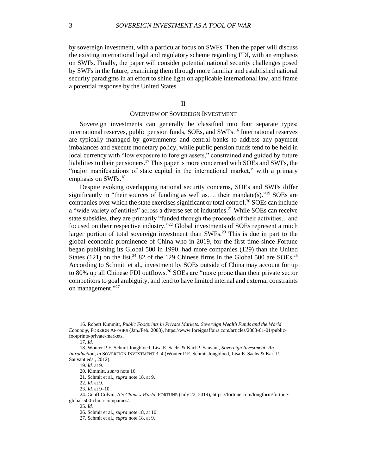by sovereign investment, with a particular focus on SWFs. Then the paper will discuss the existing international legal and regulatory scheme regarding FDI, with an emphasis on SWFs. Finally, the paper will consider potential national security challenges posed by SWFs in the future, examining them through more familiar and established national security paradigms in an effort to shine light on applicable international law, and frame a potential response by the United States.

II

# OVERVIEW OF SOVEREIGN INVESTMENT

Sovereign investments can generally be classified into four separate types: international reserves, public pension funds, SOEs, and SWFs.<sup>16</sup> International reserves are typically managed by governments and central banks to address any payment imbalances and execute monetary policy, while public pension funds tend to be held in local currency with "low exposure to foreign assets," constrained and guided by future liabilities to their pensioners.<sup>17</sup> This paper is more concerned with SOEs and SWFs, the "major manifestations of state capital in the international market," with a primary emphasis on SWFs. 18

Despite evoking overlapping national security concerns, SOEs and SWFs differ significantly in "their sources of funding as well as.... their mandate(s)."<sup>19</sup> SOEs are companies over which the state exercises significant or total control.<sup>20</sup> SOEs can include a "wide variety of entities" across a diverse set of industries. <sup>21</sup> While SOEs can receive state subsidies, they are primarily "funded through the proceeds of their activities…and focused on their respective industry." <sup>22</sup> Global investments of SOEs represent a much larger portion of total sovereign investment than SWFs.<sup>23</sup> This is due in part to the global economic prominence of China who in 2019, for the first time since Fortune began publishing its Global 500 in 1990, had more companies (129) than the United States (121) on the list.<sup>24</sup> 82 of the 129 Chinese firms in the Global 500 are SOEs.<sup>25</sup> According to Schmitt et al., investment by SOEs outside of China may account for up to 80% up all Chinese FDI outflows. <sup>26</sup> SOEs are "more prone than their private sector competitors to goal ambiguity, and tend to have limited internal and external constraints on management."<sup>27</sup>

<sup>16.</sup> Robert Kimmitt, *Public Footprints in Private Markets: Sovereign Wealth Funds and the World Economy*, FOREIGN AFFAIRS (Jan./Feb. 2008), https://www.foreignaffairs.com/articles/2008-01-01/publicfootprints-private-markets.

<sup>17.</sup> *Id.*

<sup>18.</sup> Wouter P.F. Schmit Jongbloed, Lisa E. Sachs & Karl P. Sauvant, *Sovereign Investment: An Introduction*, *in* SOVEREIGN INVESTMENT 3, 4 (Wouter P.F. Schmit Jongbloed, Lisa E. Sachs & Karl P. Sauvant eds., 2012).

<sup>19.</sup> *Id.* at 9.

<sup>20.</sup> Kimmitt, *supra* note 16.

<sup>21.</sup> Schmit et al., *supra* note 18, at 9.

<sup>22.</sup> *Id.* at 9.

<sup>23.</sup> *Id.* at 9–10.

<sup>24.</sup> Geoff Colvin, *It's China's World*, FORTUNE (July 22, 2019), https://fortune.com/longform/fortuneglobal-500-china-companies/.

<sup>25.</sup> *Id.*

<sup>26.</sup> Schmit et al., *supra* note 18, at 10.

<sup>27.</sup> Schmit et al., *supra* note 18, at 9.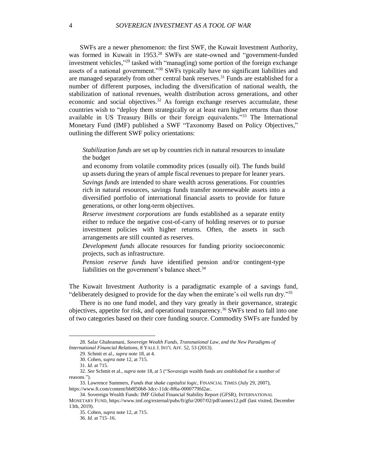SWFs are a newer phenomenon: the first SWF, the Kuwait Investment Authority, was formed in Kuwait in 1953. <sup>28</sup> SWFs are state-owned and "government-funded investment vehicles," <sup>29</sup> tasked with "manag(ing) some portion of the foreign exchange assets of a national government."<sup>30</sup> SWFs typically have no significant liabilities and are managed separately from other central bank reserves. <sup>31</sup> Funds are established for a number of different purposes, including the diversification of national wealth, the stabilization of national revenues, wealth distribution across generations, and other economic and social objectives.<sup>32</sup> As foreign exchange reserves accumulate, these countries wish to "deploy them strategically or at least earn higher returns than those available in US Treasury Bills or their foreign equivalents."<sup>33</sup> The International Monetary Fund (IMF) published a SWF "Taxonomy Based on Policy Objectives," outlining the different SWF policy orientations:

*Stabilization funds* are set up by countries rich in natural resources to insulate the budget

and economy from volatile commodity prices (usually oil). The funds build up assets during the years of ample fiscal revenues to prepare for leaner years. *Savings funds* are intended to share wealth across generations. For countries rich in natural resources, savings funds transfer nonrenewable assets into a diversified portfolio of international financial assets to provide for future generations, or other long-term objectives.

*Reserve investment corporations* are funds established as a separate entity either to reduce the negative cost-of-carry of holding reserves or to pursue investment policies with higher returns. Often, the assets in such arrangements are still counted as reserves.

*Development funds* allocate resources for funding priority socioeconomic projects, such as infrastructure.

*Pension reserve funds* have identified pension and/or contingent-type liabilities on the government's balance sheet.<sup>34</sup>

The Kuwait Investment Authority is a paradigmatic example of a savings fund, "deliberately designed to provide for the day when the emirate's oil wells run dry."<sup>35</sup>

There is no one fund model, and they vary greatly in their governance, strategic objectives, appetite for risk, and operational transparency.<sup>36</sup> SWFs tend to fall into one of two categories based on their core funding source. Commodity SWFs are funded by

<sup>28.</sup> Salar Ghahramani, *Sovereign Wealth Funds, Transnational Law, and the New Paradigms of International Financial Relations*, 8 YALE J. INT'L AFF. 52, 53 (2013).

<sup>29.</sup> Schmit et al., *supra* note 18, at 4.

<sup>30.</sup> Cohen, *supra* note 12, at 715.

<sup>31.</sup> *Id.* at 715.

<sup>32.</sup> *See* Schmit et al., *supra* note 18, at 5 ("Sovereign wealth funds are established for a number of reasons.").

<sup>33.</sup> Lawrence Summers, *Funds that shake capitalist logic*, FINANCIAL TIMES (July 29, 2007), https://www.ft.com/content/bb8f50b8-3dcc-11dc-8f6a-0000779fd2ac.

<sup>34.</sup> Sovereign Wealth Funds: IMF Global Financial Stability Report (GFSR), INTERNATIONAL MONETARY FUND, https://www.imf.org/external/pubs/ft/gfsr/2007/02/pdf/annex12.pdf (last visited, December 13th, 2019).

<sup>35.</sup> Cohen, *supra* note 12, at 715.

<sup>36.</sup> *Id.* at 715–16.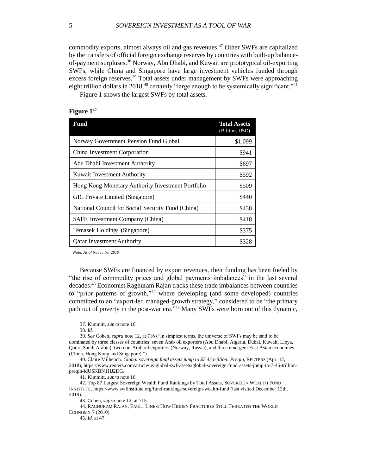commodity exports, almost always oil and gas revenues. <sup>37</sup> Other SWFs are capitalized by the transfers of official foreign exchange reserves by countries with built-up balanceof-payment surpluses. <sup>38</sup> Norway, Abu Dhabi, and Kuwait are prototypical oil-exporting SWFs, while China and Singapore have large investment vehicles funded through excess foreign reserves.<sup>39</sup> Total assets under management by SWFs were approaching eight trillion dollars in 2018,<sup>40</sup> certainly "large enough to be systemically significant."<sup>41</sup>

Figure 1 shows the largest SWFs by total assets.

# **Figure 1**<sup>42</sup>

| Fund                                              | <b>Total Assets</b><br>(Billions USD) |
|---------------------------------------------------|---------------------------------------|
| Norway Government Pension Fund Global             | \$1,099                               |
| China Investment Corporation                      | \$941                                 |
| Abu Dhabi Investment Authority                    | \$697                                 |
| Kuwait Investment Authority                       | \$592                                 |
| Hong Kong Monetary Authority Investment Portfolio | \$509                                 |
| GIC Private Limited (Singapore)                   | \$440                                 |
| National Council for Social Security Fund (China) | \$438                                 |
| SAFE Investment Company (China)                   | \$418                                 |
| Temasek Holdings (Singapore)                      | \$375                                 |
| <b>Qatar Investment Authority</b>                 | \$328                                 |

*Note: As of November 2019*

Because SWFs are financed by export revenues, their funding has been fueled by "the rise of commodity prices and global payments imbalances" in the last several decades.<sup>43</sup> Economist Raghuram Rajan tracks these trade imbalances between countries to "prior patterns of growth," <sup>44</sup> where developing (and some developed) countries committed to an "export-led managed-growth strategy," considered to be "the primary path out of poverty in the post-war era."<sup>45</sup> Many SWFs were born out of this dynamic,

<sup>37.</sup> Kimmitt, *supra* note 16.

<sup>38.</sup> *Id.*

<sup>39.</sup> *See* Cohen, *supra* note 12, at 716 ("In simplest terms, the universe of SWFs may be said to be dominated by three classes of countries: seven Arab oil exporters (Abu Dhabi, Algeria, Dubai, Kuwait, Libya, Qatar, Saudi Arabia); two non-Arab oil exporters (Norway, Russia), and three emergent East Asian economies (China, Hong Kong and Singapore).").

<sup>40.</sup> Claire Milhench. *Global sovereign fund assets jump to \$7.45 trillion: Preqin*, REUTERS (Apr. 12, 2018), https://www.reuters.com/article/us-global-swf-assets/global-sovereign-fund-assets-jump-to-7-45-trillionpreqin-idUSKBN1HJ2DG.

<sup>41.</sup> Kimmitt, *supra* note 16.

<sup>42.</sup> Top 87 Largest Sovereign Wealth Fund Rankings by Total Assets, SOVEREIGN WEALTH FUND INSTITUTE, https://www.swfinstitute.org/fund-rankings/sovereign-wealth-fund (last visited December 12th, 2019).

<sup>43.</sup> Cohen, *supra* note 12, at 715.

<sup>44.</sup> RAGHURAM RAJAN, FAULT LINES: HOW HIDDEN FRACTURES STILL THREATEN THE WORLD ECONOMY 7 (2010).

<sup>45.</sup> *Id.* at 47.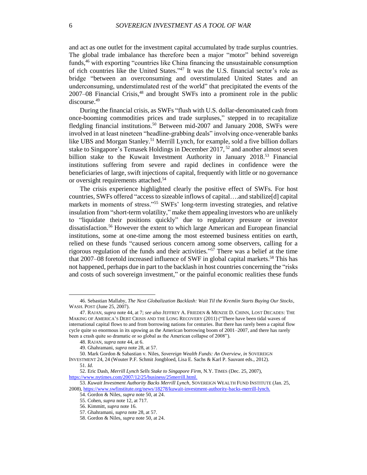and act as one outlet for the investment capital accumulated by trade surplus countries. The global trade imbalance has therefore been a major "motor" behind sovereign funds, <sup>46</sup> with exporting "countries like China financing the unsustainable consumption of rich countries like the United States." <sup>47</sup> It was the U.S. financial sector's role as bridge "between an overconsuming and overstimulated United States and an underconsuming, understimulated rest of the world" that precipitated the events of the 2007–08 Financial Crisis, <sup>48</sup> and brought SWFs into a prominent role in the public discourse. 49

During the financial crisis, as SWFs "flush with U.S. dollar-denominated cash from once-booming commodities prices and trade surpluses," stepped in to recapitalize fledgling financial institutions.<sup>50</sup> Between mid-2007 and January 2008, SWFs were involved in at least nineteen "headline-grabbing deals" involving once-venerable banks like UBS and Morgan Stanley.<sup>51</sup> Merrill Lynch, for example, sold a five billion dollars stake to Singapore's Temasek Holdings in December 2017, <sup>52</sup> and another almost seven billion stake to the Kuwait Investment Authority in January 2018.<sup>53</sup> Financial institutions suffering from severe and rapid declines in confidence were the beneficiaries of large, swift injections of capital, frequently with little or no governance or oversight requirements attached. 54

The crisis experience highlighted clearly the positive effect of SWFs. For host countries, SWFs offered "access to sizeable inflows of capital….and stabilize[d] capital markets in moments of stress."<sup>55</sup> SWFs' long-term investing strategies, and relative insulation from "short-term volatility," make them appealing investors who are unlikely to "liquidate their positions quickly" due to regulatory pressure or investor dissatisfaction.<sup>56</sup> However the extent to which large American and European financial institutions, some at one-time among the most esteemed business entities on earth, relied on these funds "caused serious concern among some observers, calling for a rigorous regulation of the funds and their activities." <sup>57</sup> There was a belief at the time that 2007–08 foretold increased influence of SWF in global capital markets. <sup>58</sup> This has not happened, perhaps due in part to the backlash in host countries concerning the "risks and costs of such sovereign investment," or the painful economic realities these funds

<sup>46.</sup> Sebastian Mallaby, *The Next Globalization Backlash: Wait Til the Kremlin Starts Buying Our Stocks*, WASH. POST (June 25, 2007).

<sup>47.</sup> RAJAN, *supra* note 44, at 7; *see also* JEFFREY A. FRIEDEN & MENZIE D. CHINN, LOST DECADES: THE MAKING OF AMERICA'S DEBT CRISIS AND THE LONG RECOVERY (2011) ("There have been tidal waves of international capital flows to and from borrowing nations for centuries. But there has rarely been a capital flow cycle quite so enormous in its upswing as the American borrowing boom of 2001–2007, and there has rarely been a crash quite so dramatic or so global as the American collapse of 2008").

<sup>48.</sup> RAJAN, *supra* note 44, at 6.

<sup>49.</sup> Ghahramani, *supra* note 28, at 57.

<sup>50.</sup> Mark Gordon & Sabastian v. Niles, *Sovereign Wealth Funds: An Overview*, *in* SOVEREIGN INVESTMENT 24, 24 (Wouter P.F. Schmit Jongbloed, Lisa E. Sachs & Karl P. Sauvant eds., 2012).

<sup>51.</sup> *Id.*

<sup>52.</sup> Eric Dash, *Merrill Lynch Sells Stake to Singapore Firm*, N.Y. TIMES (Dec. 25, 2007), [https://www.nytimes.com/2007/12/25/business/25merrill.html.](https://www.nytimes.com/2007/12/25/business/25merrill.html)

<sup>53.</sup> *Kuwait Investment Authority Backs Merrill Lynch*, SOVEREIGN WEALTH FUND INSTITUTE (Jan. 25, 2008), [https://www.swfinstitute.org/news/18278/kuwait-investment-authority-backs-merrill-lynch.](https://www.swfinstitute.org/news/18278/kuwait-investment-authority-backs-merrill-lynch)

<sup>54.</sup> Gordon & Niles, *supra* note 50, at 24.

<sup>55.</sup> Cohen, *supra* note 12, at 717.

<sup>56.</sup> Kimmitt, *supra* note 16.

<sup>57.</sup> Ghahramani, *supra* note 28, at 57.

<sup>58.</sup> Gordon & Niles, *supra* note 50, at 24.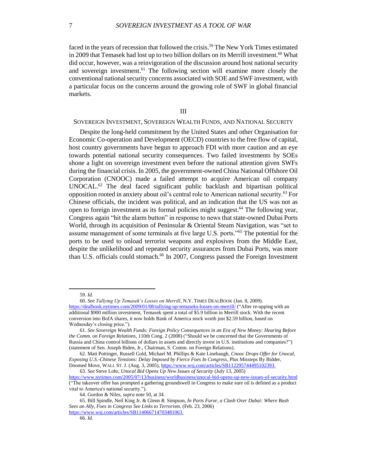faced in the years of recession that followed the crisis.<sup>59</sup> The New York Times estimated in 2009 that Temasek had lost up to two billion dollars on its Merrill investment. <sup>60</sup> What did occur, however, was a reinvigoration of the discussion around host national security and sovereign investment. <sup>61</sup> The following section will examine more closely the conventional national security concerns associated with SOE and SWF investment, with a particular focus on the concerns around the growing role of SWF in global financial markets.

# III

# SOVEREIGN INVESTMENT, SOVEREIGN WEALTH FUNDS, AND NATIONAL SECURITY

Despite the long-held commitment by the United States and other Organisation for Economic Co-operation and Development (OECD) countries to the free flow of capital, host country governments have begun to approach FDI with more caution and an eye towards potential national security consequences. Two failed investments by SOEs shone a light on sovereign investment even before the national attention given SWFs during the financial crisis. In 2005, the government-owned China National Offshore Oil Corporation (CNOOC) made a failed attempt to acquire American oil company UNOCAL.<sup>62</sup> The deal faced significant public backlash and bipartisan political opposition rooted in anxiety about oil's central role to American national security.<sup>63</sup> For Chinese officials, the incident was political, and an indication that the US was not as open to foreign investment as its formal policies might suggest.<sup>64</sup> The following year, Congress again "hit the alarm button" in response to news that state-owned Dubai Ports World, through its acquisition of Peninsular & Oriental Steam Navigation, was "set to assume management of some terminals at five large U.S. ports."<sup>65</sup> The potential for the ports to be used to onload terrorist weapons and explosives from the Middle East, despite the unlikelihood and repeated security assurances from Dubai Ports, was more than U.S. officials could stomach. <sup>66</sup> In 2007, Congress passed the Foreign Investment

 $\overline{a}$ 

63. *See* Steve Lohr, *Unocal Bid Opens Up New Issues of Security* (July 13, 2005)

<sup>59.</sup> *Id.*

<sup>60.</sup> *See Tallying Up Temasek's Losses on Merrill*, N.Y. TIMES DEALBOOK (Jan. 8, 2009). <https://dealbook.nytimes.com/2009/01/08/tallying-up-temaseks-losses-on-merrill/> ("After re-upping with an additional \$900 million investment, Temasek spent a total of \$5.9 billion in Merrill stock. With the recent conversion into BofA shares, it now holds Bank of America stock worth just \$2.59 billion, based on Wednesday's closing price.").

<sup>61.</sup> *See Sovereign Wealth Funds: Foreign Policy Consequences in an Era of New Money: Hearing Before the Comm. on Foreign Relations*, 110th Cong. 2 (2008) ("Should we be concerned that the Governments of Russia and China control billions of dollars in assets and directly invest in U.S. institutions and companies?") (statement of Sen. Joseph Biden, Jr., Chairman, S. Comm. on Foreign Relations).

<sup>62.</sup> Matt Pottinger, Russell Gold, Michael M. Phillips & Kate Linebaugh, *Cnooc Drops Offer for Unocal, Exposing U.S.-Chinese Tensions: Delay Imposed by Fierce Foes In Congress*, Plus Missteps By Bidder, Doomed Move, WALL ST. J. (Aug. 3, 2005), [https://www.wsj.com/articles/SB112295744495102393.](https://www.wsj.com/articles/SB112295744495102393)

<https://www.nytimes.com/2005/07/13/business/worldbusiness/unocal-bid-opens-up-new-issues-of-security.html> ("The takeover offer has prompted a gathering groundswell in Congress to make sure oil is defined as a product vital to America's national security.").

<sup>64.</sup> Gordon & Niles, *supra* note 50, at 34.

<sup>65.</sup> Bill Spindle, Neil King Jr. & Glenn *R.* Simpson, *In Ports Furor, a Clash Over Dubai: Where Bush Sees an Ally, Foes in Congress See Links to Terrorism*, (Feb. 23, 2006) [https://www.wsj.com/articles/SB114066714703481063.](https://www.wsj.com/articles/SB114066714703481063)

<sup>66.</sup> *Id.*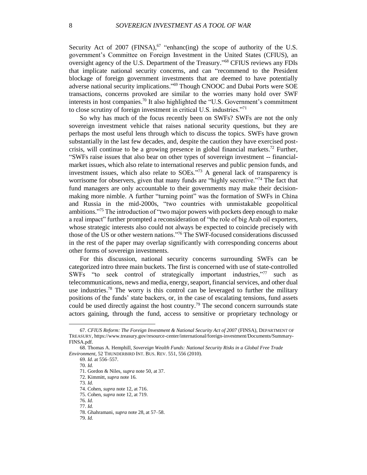Security Act of 2007 (FINSA), $67$  "enhanc(ing) the scope of authority of the U.S. government's Committee on Foreign Investment in the United States (CFIUS), an oversight agency of the U.S. Department of the Treasury." <sup>68</sup> CFIUS reviews any FDIs that implicate national security concerns, and can "recommend to the President blockage of foreign government investments that are deemed to have potentially adverse national security implications." <sup>69</sup> Though CNOOC and Dubai Ports were SOE transactions, concerns provoked are similar to the worries many hold over SWF interests in host companies. <sup>70</sup> It also highlighted the "U.S. Government's commitment to close scrutiny of foreign investment in critical U.S. industries."<sup>71</sup>

So why has much of the focus recently been on SWFs? SWFs are not the only sovereign investment vehicle that raises national security questions, but they are perhaps the most useful lens through which to discuss the topics. SWFs have grown substantially in the last few decades, and, despite the caution they have exercised postcrisis, will continue to be a growing presence in global financial markets.<sup>72</sup> Further, "SWFs raise issues that also bear on other types of sovereign investment -- financialmarket issues, which also relate to international reserves and public pension funds, and investment issues, which also relate to SOEs." <sup>73</sup> A general lack of transparency is worrisome for observers, given that many funds are "highly secretive."<sup>74</sup> The fact that fund managers are only accountable to their governments may make their decisionmaking more nimble. A further "turning point" was the formation of SWFs in China and Russia in the mid-2000s, "two countries with unmistakable geopolitical ambitions." <sup>75</sup> The introduction of "two major powers with pockets deep enough to make a real impact" further prompted a reconsideration of "the role of big Arab oil exporters, whose strategic interests also could not always be expected to coincide precisely with those of the US or other western nations."<sup>76</sup> The SWF-focused considerations discussed in the rest of the paper may overlap significantly with corresponding concerns about other forms of sovereign investments.

For this discussion, national security concerns surrounding SWFs can be categorized intro three main buckets. The first is concerned with use of state-controlled SWFs "to seek control of strategically important industries,"<sup>77</sup> such as telecommunications, news and media, energy, seaport, financial services, and other dual use industries.<sup>78</sup> The worry is this control can be leveraged to further the military positions of the funds' state backers, or, in the case of escalating tensions, fund assets could be used directly against the host country.<sup>79</sup> The second concern surrounds state actors gaining, through the fund, access to sensitive or proprietary technology or

 $\overline{\phantom{a}}$ 

73. *Id.*

79. *Id.*

<sup>67.</sup> *CFIUS Reform: The Foreign Investment & National Security Act of 2007* (FINSA), DEPARTMENT OF TREASURY, https://www.treasury.gov/resource-center/international/foreign-investment/Documents/Summary-FINSA.pdf.

<sup>68.</sup> Thomas A. Hemphill, *Sovereign Wealth Funds: National Security Risks in a Global Free Trade Environment*, 52 THUNDERBIRD INT. BUS. REV. 551, 556 (2010).

<sup>69.</sup> *Id.* at 556–557.

<sup>70.</sup> *Id.*

<sup>71.</sup> Gordon & Niles, *supra* note 50, at 37.

<sup>72.</sup> Kimmitt, *supra* note 16.

<sup>74.</sup> Cohen, *supra* note 12, at 716.

<sup>75.</sup> Cohen, *supra* note 12, at 719.

<sup>76.</sup> *Id.*

<sup>77.</sup> *Id.*

<sup>78.</sup> Ghahramani, *supra* note 28, at 57–58.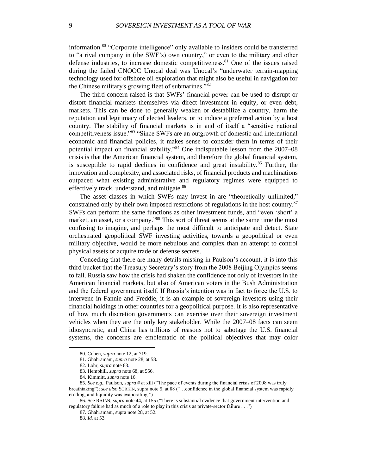information.<sup>80</sup> "Corporate intelligence" only available to insiders could be transferred to "a rival company in (the SWF's) own country," or even to the military and other defense industries, to increase domestic competitiveness. <sup>81</sup> One of the issues raised during the failed CNOOC Unocal deal was Unocal's "underwater terrain-mapping technology used for offshore oil exploration that might also be useful in navigation for the Chinese military's growing fleet of submarines."<sup>82</sup>

The third concern raised is that SWFs' financial power can be used to disrupt or distort financial markets themselves via direct investment in equity, or even debt, markets. This can be done to generally weaken or destabilize a country, harm the reputation and legitimacy of elected leaders, or to induce a preferred action by a host country. The stability of financial markets is in and of itself a "sensitive national competitiveness issue."<sup>83</sup> "Since SWFs are an outgrowth of domestic and international economic and financial policies, it makes sense to consider them in terms of their potential impact on financial stability."<sup>84</sup> One indisputable lesson from the 2007–08 crisis is that the American financial system, and therefore the global financial system, is susceptible to rapid declines in confidence and great instability. $85$  Further, the innovation and complexity, and associated risks, of financial products and machinations outpaced what existing administrative and regulatory regimes were equipped to effectively track, understand, and mitigate.<sup>86</sup>

The asset classes in which SWFs may invest in are "theoretically unlimited," constrained only by their own imposed restrictions of regulations in the host country.<sup>87</sup> SWFs can perform the same functions as other investment funds, and "even 'short' a market, an asset, or a company."<sup>88</sup> This sort of threat seems at the same time the most confusing to imagine, and perhaps the most difficult to anticipate and detect. State orchestrated geopolitical SWF investing activities, towards a geopolitical or even military objective, would be more nebulous and complex than an attempt to control physical assets or acquire trade or defense secrets.

Conceding that there are many details missing in Paulson's account, it is into this third bucket that the Treasury Secretary's story from the 2008 Beijing Olympics seems to fall. Russia saw how the crisis had shaken the confidence not only of investors in the American financial markets, but also of American voters in the Bush Administration and the federal government itself. If Russia's intention was in fact to force the U.S. to intervene in Fannie and Freddie, it is an example of sovereign investors using their financial holdings in other countries for a geopolitical purpose. It is also representative of how much discretion governments can exercise over their sovereign investment vehicles when they are the only key stakeholder. While the 2007–08 facts can seem idiosyncratic, and China has trillions of reasons not to sabotage the U.S. financial systems, the concerns are emblematic of the political objectives that may color

<sup>80.</sup> Cohen, *supra* note 12, at 719.

<sup>81.</sup> Ghahramani, *supra* note 28, at 58.

<sup>82.</sup> Lohr, *supra* note 63.

<sup>83.</sup> Hemphill, *supra* note 68, at 556.

<sup>84.</sup> Kimmitt, *supra* note 16.

<sup>85.</sup> *See e.g.*, Paulson, *supra* # at xiii ("The pace of events during the financial crisis of 2008 was truly breathtaking"); *see also* SORKIN, supra note 5, at 88 ("…confidence in the global financial system was rapidly eroding, and liquidity was evaporating.")

<sup>86.</sup> See RAJAN, *supra* note 44, at 155 ("There is substantial evidence that government intervention and regulatory failure had as much of a role to play in this crisis as private-sector failure . . .")

<sup>87.</sup> Ghahramani, supra note 28, at 52.

<sup>88.</sup> *Id.* at 53.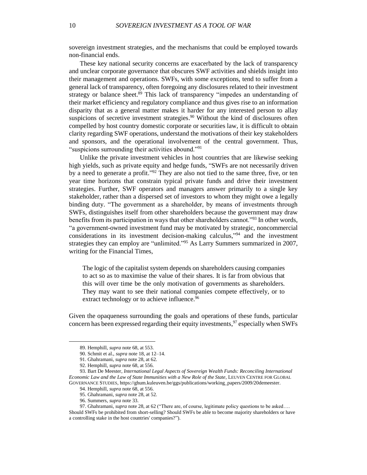sovereign investment strategies, and the mechanisms that could be employed towards non-financial ends.

These key national security concerns are exacerbated by the lack of transparency and unclear corporate governance that obscures SWF activities and shields insight into their management and operations. SWFs, with some exceptions, tend to suffer from a general lack of transparency, often foregoing any disclosures related to their investment strategy or balance sheet.<sup>89</sup> This lack of transparency "impedes an understanding of their market efficiency and regulatory compliance and thus gives rise to an information disparity that as a general matter makes it harder for any interested person to allay suspicions of secretive investment strategies.<sup>90</sup> Without the kind of disclosures often compelled by host country domestic corporate or securities law, it is difficult to obtain clarity regarding SWF operations, understand the motivations of their key stakeholders and sponsors, and the operational involvement of the central government. Thus, "suspicions surrounding their activities abound."<sup>91</sup>

Unlike the private investment vehicles in host countries that are likewise seeking high yields, such as private equity and hedge funds, "SWFs are not necessarily driven by a need to generate a profit."<sup>92</sup> They are also not tied to the same three, five, or ten year time horizons that constrain typical private funds and drive their investment strategies. Further, SWF operators and managers answer primarily to a single key stakeholder, rather than a dispersed set of investors to whom they might owe a legally binding duty. "The government as a shareholder, by means of investments through SWFs, distinguishes itself from other shareholders because the government may draw benefits from its participation in ways that other shareholders cannot."<sup>93</sup> In other words, "a government-owned investment fund may be motivated by strategic, noncommercial considerations in its investment decision-making calculus," <sup>94</sup> and the investment strategies they can employ are "unlimited."<sup>95</sup> As Larry Summers summarized in 2007, writing for the Financial Times,

The logic of the capitalist system depends on shareholders causing companies to act so as to maximise the value of their shares. It is far from obvious that this will over time be the only motivation of governments as shareholders. They may want to see their national companies compete effectively, or to extract technology or to achieve influence.<sup>96</sup>

Given the opaqueness surrounding the goals and operations of these funds, particular concern has been expressed regarding their equity investments, <sup>97</sup> especially when SWFs

<sup>89.</sup> Hemphill, *supra* note 68, at 553.

<sup>90.</sup> Schmit et al., *supra* note 18, at 12–14.

<sup>91.</sup> Ghahramani, *supra* note 28, at 62.

<sup>92.</sup> Hemphill, *supra* note 68, at 556.

<sup>93.</sup> Bart De Meester, *International Legal Aspects of Sovereign Wealth Funds: Reconciling International Economic Law and the Law of State Immunities with a New Role of the State*, LEUVEN CENTRE FOR GLOBAL GOVERNANCE STUDIES, https://ghum.kuleuven.be/ggs/publications/working\_papers/2009/20demeester.

<sup>94.</sup> Hemphill, *supra* note 68, at 556.

<sup>95.</sup> Ghahramani, *supra* note 28, at 52.

<sup>96.</sup> Summers, *supra* note 33.

<sup>97.</sup> Ghahramani, *supra* note 28, at 62 ("There are, of course, legitimate policy questions to be asked…. Should SWFs be prohibited from short-selling? Should SWFs be able to become majority shareholders or have a controlling stake in the host countries' companies?").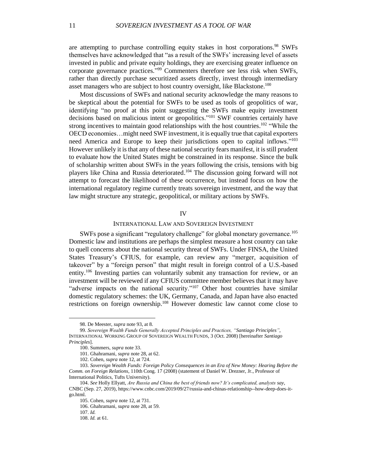are attempting to purchase controlling equity stakes in host corporations.<sup>98</sup> SWFs themselves have acknowledged that "as a result of the SWFs' increasing level of assets invested in public and private equity holdings, they are exercising greater influence on corporate governance practices." <sup>99</sup> Commenters therefore see less risk when SWFs, rather than directly purchase securitized assets directly, invest through intermediary asset managers who are subject to host country oversight, like Blackstone.<sup>100</sup>

Most discussions of SWFs and national security acknowledge the many reasons to be skeptical about the potential for SWFs to be used as tools of geopolitics of war, identifying "no proof at this point suggesting the SWFs make equity investment decisions based on malicious intent or geopolitics."<sup>101</sup> SWF countries certainly have strong incentives to maintain good relationships with the host countries.<sup>102</sup> "While the OECD economies…might need SWF investment, it is equally true that capital exporters need America and Europe to keep their jurisdictions open to capital inflows."<sup>103</sup> However unlikely it is that any of these national security fears manifest, it is still prudent to evaluate how the United States might be constrained in its response. Since the bulk of scholarship written about SWFs in the years following the crisis, tensions with big players like China and Russia deteriorated. <sup>104</sup> The discussion going forward will not attempt to forecast the likelihood of these occurrence, but instead focus on how the international regulatory regime currently treats sovereign investment, and the way that law might structure any strategic, geopolitical, or military actions by SWFs.

#### IV

#### INTERNATIONAL LAW AND SOVEREIGN INVESTMENT

SWFs pose a significant "regulatory challenge" for global monetary governance.<sup>105</sup> Domestic law and institutions are perhaps the simplest measure a host country can take to quell concerns about the national security threat of SWFs. Under FINSA, the United States Treasury's CFIUS, for example, can review any "merger, acquisition of takeover" by a "foreign person" that might result in foreign control of a U.S.-based entity.<sup>106</sup> Investing parties can voluntarily submit any transaction for review, or an investment will be reviewed if any CFIUS committee member believes that it may have "adverse impacts on the national security."<sup>107</sup> Other host countries have similar domestic regulatory schemes: the UK, Germany, Canada, and Japan have also enacted restrictions on foreign ownership.<sup>108</sup> However domestic law cannot come close to

<sup>98.</sup> De Meester, *supra* note 93, at 8.

<sup>99.</sup> *Sovereign Wealth Funds Generally Accepted Principles and Practices, "Santiago Principles"*, INTERNATIONAL WORKING GROUP OF SOVEREIGN WEALTH FUNDS, 3 (Oct. 2008) [hereinafter *Santiago Principles*].

<sup>100.</sup> Summers, *supra* note 33.

<sup>101.</sup> Ghahramani, *supra* note 28, at 62.

<sup>102.</sup> Cohen, *supra* note 12, at 724.

<sup>103.</sup> *Sovereign Wealth Funds: Foreign Policy Consequences in an Era of New Money: Hearing Before the Comm. on Foreign Relations*, 110th Cong. 17 (2008) (statement of Daniel W. Drezner, Jr., Professor of International Politics, Tufts University).

<sup>104.</sup> *See* Holly Ellyatt, *Are Russia and China the best of friends now? It's complicated, analysts say*, CNBC (Sep. 27, 2019), https://www.cnbc.com/2019/09/27/russia-and-chinas-relationship--how-deep-does-itgo.html.

<sup>105.</sup> Cohen, *supra* note 12, at 731.

<sup>106.</sup> Ghahramani, *supra* note 28, at 59.

<sup>107.</sup> *Id.*

<sup>108.</sup> *Id.* at 61.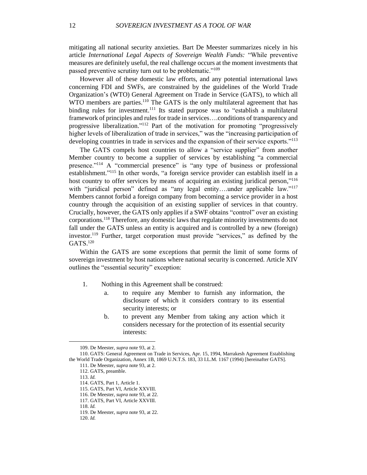mitigating all national security anxieties. Bart De Meester summarizes nicely in his article *International Legal Aspects of Sovereign Wealth Funds:* "While preventive measures are definitely useful, the real challenge occurs at the moment investments that passed preventive scrutiny turn out to be problematic."<sup>109</sup>

However all of these domestic law efforts, and any potential international laws concerning FDI and SWFs, are constrained by the guidelines of the World Trade Organization's (WTO) General Agreement on Trade in Service (GATS), to which all WTO members are parties.<sup>110</sup> The GATS is the only multilateral agreement that has binding rules for investment.<sup>111</sup> Its stated purpose was to "establish a multilateral framework of principles and rules for trade in services….conditions of transparency and progressive liberalization."<sup>112</sup> Part of the motivation for promoting "progressively higher levels of liberalization of trade in services," was the "increasing participation of developing countries in trade in services and the expansion of their service exports."<sup>113</sup>

The GATS compels host countries to allow a "service supplier" from another Member country to become a supplier of services by establishing "a commercial presence."<sup>114</sup> A "commercial presence" is "any type of business or professional establishment."<sup>115</sup> In other words, "a foreign service provider can establish itself in a host country to offer services by means of acquiring an existing juridical person,"<sup>116</sup> with "juridical person" defined as "any legal entity....under applicable law."<sup>117</sup> Members cannot forbid a foreign company from becoming a service provider in a host country through the acquisition of an existing supplier of services in that country. Crucially, however, the GATS only applies if a SWF obtains "control" over an existing corporations.<sup>118</sup> Therefore, any domestic laws that regulate minority investments do not fall under the GATS unless an entity is acquired and is controlled by a new (foreign) investor.<sup>119</sup> Further, target corporation must provide "services," as defined by the GATS.<sup>120</sup>

Within the GATS are some exceptions that permit the limit of some forms of sovereign investment by host nations where national security is concerned. Article XIV outlines the "essential security" exception:

- 1. Nothing in this Agreement shall be construed:
	- a. to require any Member to furnish any information, the disclosure of which it considers contrary to its essential security interests; or
	- b. to prevent any Member from taking any action which it considers necessary for the protection of its essential security interests:

112. GATS, preamble.

<sup>109.</sup> De Meester, *supra* note 93, at 2.

<sup>110.</sup> GATS: General Agreement on Trade in Services, Apr. 15, 1994, Marrakesh Agreement Establishing the World Trade Organization, Annex 1B, 1869 U.N.T.S. 183, 33 I.L.M. 1167 (1994) [hereinafter GATS].

<sup>111.</sup> De Meester, *supra* note 93, at 2.

<sup>113.</sup> *Id.*

<sup>114.</sup> GATS, Part 1, Article 1. 115. GATS, Part VI, Article XXVIII.

<sup>116.</sup> De Meester, *supra* note 93, at 22.

<sup>117.</sup> GATS, Part VI, Article XXVIII.

<sup>118.</sup> *Id.*

<sup>119.</sup> De Meester, *supra* note 93, at 22.

<sup>120.</sup> *Id.*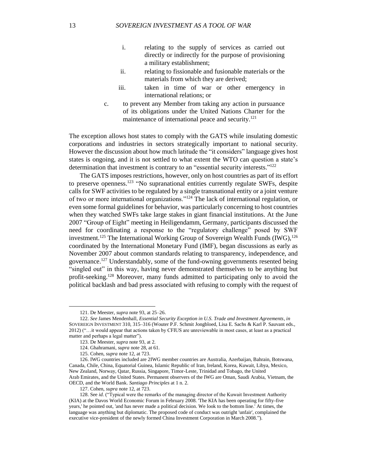- i. relating to the supply of services as carried out directly or indirectly for the purpose of provisioning a military establishment;
- ii. relating to fissionable and fusionable materials or the materials from which they are derived;
- iii. taken in time of war or other emergency in international relations; or
- c. to prevent any Member from taking any action in pursuance of its obligations under the United Nations Charter for the maintenance of international peace and security.<sup>121</sup>

The exception allows host states to comply with the GATS while insulating domestic corporations and industries in sectors strategically important to national security. However the discussion about how much latitude the "it considers" language gives host states is ongoing, and it is not settled to what extent the WTO can question a state's determination that investment is contrary to an "essential security interests."<sup>122</sup>

The GATS imposes restrictions, however, only on host countries as part of its effort to preserve openness.<sup>123</sup> "No supranational entities currently regulate SWFs, despite calls for SWF activities to be regulated by a single transnational entity or a joint venture of two or more international organizations."<sup>124</sup> The lack of international regulation, or even some formal guidelines for behavior, was particularly concerning to host countries when they watched SWFs take large stakes in giant financial institutions. At the June 2007 "Group of Eight" meeting in Heiligendamm, Germany, participants discussed the need for coordinating a response to the "regulatory challenge" posed by SWF investment.<sup>125</sup> The International Working Group of Sovereign Wealth Funds (IWG),  $^{126}$ coordinated by the International Monetary Fund (IMF), began discussions as early as November 2007 about common standards relating to transparency, independence, and governance.<sup>127</sup> Understandably, some of the fund-owning governments resented being "singled out" in this way, having never demonstrated themselves to be anything but profit-seeking. <sup>128</sup> Moreover, many funds admitted to participating only to avoid the political backlash and bad press associated with refusing to comply with the request of

 $\overline{a}$ 

<sup>121.</sup> De Meester, *supra* note 93, at 25–26.

<sup>122.</sup> *See* James Mendenhall, *Essential Security Exception in U.S. Trade and Investment Agreements*, *in* SOVEREIGN INVESTMENT 310, 315–316 (Wouter P.F. Schmit Jongbloed, Lisa E. Sachs & Karl P. Sauvant eds., 2012) ("…it would appear that actions taken by CFIUS are unreviewable in most cases, at least as a practical matter and perhaps a legal matter").

<sup>123.</sup> De Meester, *supra* note 93, at 2.

<sup>124.</sup> Ghahramani, *supra* note 28, at 61.

<sup>125.</sup> Cohen, *supra* note 12, at 723.

<sup>126.</sup> IWG countries included are 2IWG member countries are Australia, Azerbaijan, Bahrain, Botswana, Canada, Chile, China, Equatorial Guinea, Islamic Republic of Iran, Ireland, Korea, Kuwait, Libya, Mexico, New Zealand, Norway, Qatar, Russia, Singapore, Timor-Leste, Trinidad and Tobago, the United Arab Emirates, and the United States. Permanent observers of the IWG are Oman, Saudi Arabia, Vietnam, the OECD, and the World Bank. *Santiago Principles* at 1 n. 2.

<sup>127.</sup> Cohen, *supra* note 12, at 723.

<sup>128.</sup> See *id.* ("Typical were the remarks of the managing director of the Kuwait Investment Authority (KIA) at the Davos World Economic Forum in February 2008. 'The KIA has been operating for fifty-five years,' he pointed out, 'and has never made a political decision. We look to the bottom line.' At times, the language was anything but diplomatic. The proposed code of conduct was outright 'unfair', complained the executive vice-president of the newly formed China Investment Corporation in March 2008.").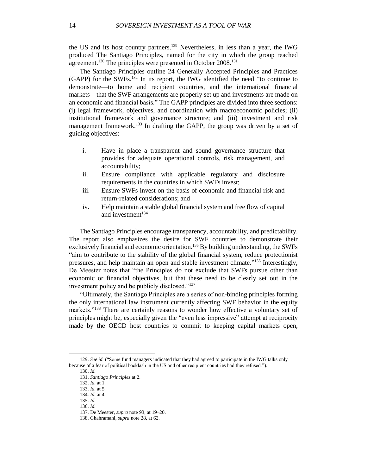the US and its host country partners. <sup>129</sup> Nevertheless, in less than a year, the IWG produced The Santiago Principles, named for the city in which the group reached agreement.<sup>130</sup> The principles were presented in October 2008.<sup>131</sup>

The Santiago Principles outline 24 Generally Accepted Principles and Practices (GAPP) for the SWFs.<sup>132</sup> In its report, the IWG identified the need "to continue to demonstrate—to home and recipient countries, and the international financial markets—that the SWF arrangements are properly set up and investments are made on an economic and financial basis." The GAPP principles are divided into three sections: (i) legal framework, objectives, and coordination with macroeconomic policies; (ii) institutional framework and governance structure; and (iii) investment and risk management framework.<sup>133</sup> In drafting the GAPP, the group was driven by a set of guiding objectives:

- i. Have in place a transparent and sound governance structure that provides for adequate operational controls, risk management, and accountability;
- ii. Ensure compliance with applicable regulatory and disclosure requirements in the countries in which SWFs invest;
- iii. Ensure SWFs invest on the basis of economic and financial risk and return-related considerations; and
- iv. Help maintain a stable global financial system and free flow of capital and investment $134$

The Santiago Principles encourage transparency, accountability, and predictability. The report also emphasizes the desire for SWF countries to demonstrate their exclusively financial and economic orientation.<sup>135</sup> By building understanding, the SWFs "aim to contribute to the stability of the global financial system, reduce protectionist pressures, and help maintain an open and stable investment climate."<sup>136</sup> Interestingly, De Meester notes that "the Principles do not exclude that SWFs pursue other than economic or financial objectives, but that these need to be clearly set out in the investment policy and be publicly disclosed."<sup>137</sup>

"Ultimately, the Santiago Principles are a series of non-binding principles forming the only international law instrument currently affecting SWF behavior in the equity markets."<sup>138</sup> There are certainly reasons to wonder how effective a voluntary set of principles might be, especially given the "even less impressive" attempt at reciprocity made by the OECD host countries to commit to keeping capital markets open,

<sup>129.</sup> *See id.* ("Some fund managers indicated that they had agreed to participate in the IWG talks only because of a fear of political backlash in the US and other recipient countries had they refused.").

<sup>130.</sup> *Id.*

<sup>131.</sup> *Santiago Principles* at 2.

<sup>132.</sup> *Id.* at 1.

<sup>133.</sup> *Id.* at 5. 134. *Id.* at 4.

<sup>135.</sup> *Id.*

<sup>136.</sup> *Id.*

<sup>137.</sup> De Meester, *supra* note 93, at 19–20.

<sup>138.</sup> Ghahramani, *supra* note 28, at 62.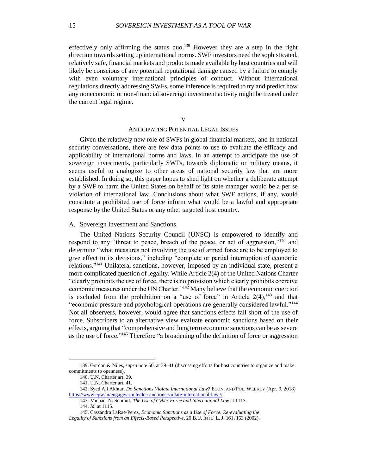effectively only affirming the status quo.<sup>139</sup> However they are a step in the right direction towards setting up international norms. SWF investors need the sophisticated, relatively safe, financial markets and products made available by host countries and will likely be conscious of any potential reputational damage caused by a failure to comply with even voluntary international principles of conduct. Without international regulations directly addressing SWFs, some inference is required to try and predict how any noneconomic or non-financial sovereign investment activity might be treated under the current legal regime.

# V

# ANTICIPATING POTENTIAL LEGAL ISSUES

Given the relatively new role of SWFs in global financial markets, and in national security conversations, there are few data points to use to evaluate the efficacy and applicability of international norms and laws. In an attempt to anticipate the use of sovereign investments, particularly SWFs, towards diplomatic or military means, it seems useful to analogize to other areas of national security law that are more established. In doing so, this paper hopes to shed light on whether a deliberate attempt by a SWF to harm the United States on behalf of its state manager would be a per se violation of international law. Conclusions about what SWF actions, if any, would constitute a prohibited use of force inform what would be a lawful and appropriate response by the United States or any other targeted host country.

# A. Sovereign Investment and Sanctions

The United Nations Security Council (UNSC) is empowered to identify and respond to any "threat to peace, breach of the peace, or act of aggression,"<sup>140</sup> and determine "what measures not involving the use of armed force are to be employed to give effect to its decisions," including "complete or partial interruption of economic relations."<sup>141</sup> Unilateral sanctions, however, imposed by an individual state, present a more complicated question of legality. While Article 2(4) of the United Nations Charter "clearly prohibits the use of force, there is no provision which clearly prohibits coercive economic measures under the UN Charter."<sup>142</sup> Many believe that the economic coercion is excluded from the prohibition on a "use of force" in Article  $2(4)$ ,  $^{143}$  and that "economic pressure and psychological operations are generally considered lawful."<sup>144</sup> Not all observers, however, would agree that sanctions effects fall short of the use of force. Subscribers to an alternative view evaluate economic sanctions based on their effects, arguing that "comprehensive and long term economic sanctions can be as severe as the use of force."<sup>145</sup> Therefore "a broadening of the definition of force or aggression

<sup>139.</sup> Gordon & Niles, *supra* note 50, at 39–41 (discussing efforts for host countries to organize and make commitments to openness).

<sup>140.</sup> U.N. Charter art. 39.

<sup>141.</sup> U.N. Charter art. 41.

<sup>142.</sup> Syed Ali Akhtar, *Do Sanctions Violate International Law?* ECON. AND POL. WEEKLY (Apr. 9, 2018) [https://www.epw.in/engage/article/do-sanctions-violate-international-law //.](https://www.epw.in/engage/article/do-sanctions-violate-international-law%20/)

<sup>143.</sup> Michael N. Schmitt, *The Use of Cyber Force and International Law* at 1113.

<sup>144.</sup> *Id.* at 1115.

<sup>145.</sup> Cassandra LaRae-Perez, *Economic Sanctions as a Use of Force: Re-evaluating the*

*Legality of Sanctions from an Effects-Based Perspective*, 20 B.U. INTL' L. J. 161, 163 (2002).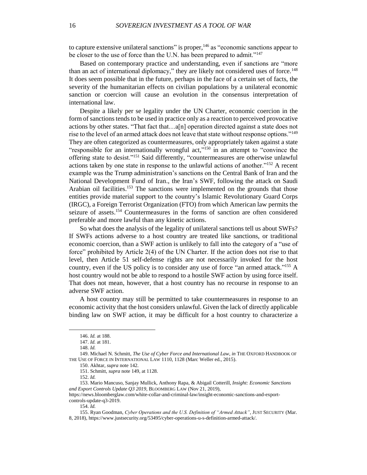to capture extensive unilateral sanctions" is proper,  $146$  as "economic sanctions appear to be closer to the use of force than the U.N. has been prepared to admit."<sup>147</sup>

Based on contemporary practice and understanding, even if sanctions are "more than an act of international diplomacy," they are likely not considered uses of force.<sup>148</sup> It does seem possible that in the future, perhaps in the face of a certain set of facts, the severity of the humanitarian effects on civilian populations by a unilateral economic sanction or coercion will cause an evolution in the consensus interpretation of international law.

Despite a likely per se legality under the UN Charter, economic coercion in the form of sanctions tends to be used in practice only as a reaction to perceived provocative actions by other states. "That fact that…a[n] operation directed against a state does not rise to the level of an armed attack does not leave that state without response options."<sup>149</sup> They are often categorized as countermeasures, only appropriately taken against a state "responsible for an internationally wrongful act,"<sup>150</sup> in an attempt to "convince the offering state to desist."<sup>151</sup> Said differently, "countermeasures are otherwise unlawful actions taken by one state in response to the unlawful actions of another."<sup>152</sup> A recent example was the Trump administration's sanctions on the Central Bank of Iran and the National Development Fund of Iran., the Iran's SWF, following the attack on Saudi Arabian oil facilities.<sup>153</sup> The sanctions were implemented on the grounds that those entities provide material support to the country's Islamic Revolutionary Guard Corps (IRGC), a Foreign Terrorist Organization (FTO) from which American law permits the seizure of assets. <sup>154</sup> Countermeasures in the forms of sanction are often considered preferable and more lawful than any kinetic actions.

So what does the analysis of the legality of unilateral sanctions tell us about SWFs? If SWFs actions adverse to a host country are treated like sanctions, or traditional economic coercion, than a SWF action is unlikely to fall into the category of a "use of force" prohibited by Article 2(4) of the UN Charter. If the action does not rise to that level, then Article 51 self-defense rights are not necessarily invoked for the host country, even if the US policy is to consider any use of force "an armed attack." <sup>155</sup> A host country would not be able to respond to a hostile SWF action by using force itself. That does not mean, however, that a host country has no recourse in response to an adverse SWF action.

A host country may still be permitted to take countermeasures in response to an economic activity that the host considers unlawful. Given the lack of directly applicable binding law on SWF action, it may be difficult for a host country to characterize a

<sup>146.</sup> *Id.* at 188.

<sup>147.</sup> *Id.* at 181.

<sup>148.</sup> *Id.*

<sup>149.</sup> Michael N. Schmitt, *The Use of Cyber Force and International Law*, *in* THE OXFORD HANDBOOK OF THE USE OF FORCE IN INTERNATIONAL LAW 1110, 1128 (Marc Weller ed., 2015).

<sup>150.</sup> Akhtar, *supra* note 142.

<sup>151.</sup> Schmitt, *supra* note 149, at 1128.

<sup>152.</sup> *Id.*

<sup>153.</sup> Mario Mancuso, Sanjay Mullick, Anthony Rapa, & Abigail Cotterill, *Insight: Economic Sanctions and Export Controls Update Q3 2019*, BLOOMBERG LAW (Nov 21, 2019),

https://news.bloomberglaw.com/white-collar-and-criminal-law/insight-economic-sanctions-and-exportcontrols-update-q3-2019.

<sup>154.</sup> *Id.*

<sup>155.</sup> Ryan Goodman, *Cyber Operations and the U.S. Definition of "Armed Attack"*, JUST SECURITY (Mar. 8, 2018), https://www.justsecurity.org/53495/cyber-operations-u-s-definition-armed-attack/.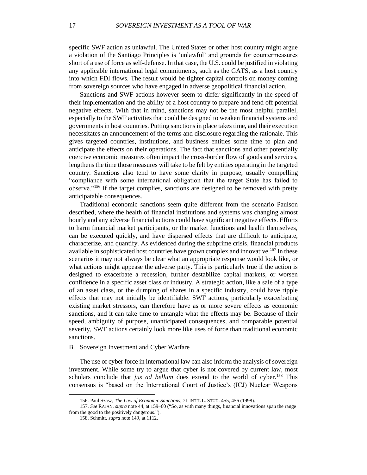specific SWF action as unlawful. The United States or other host country might argue a violation of the Santiago Principles is 'unlawful' and grounds for countermeasures short of a use of force as self-defense. In that case, the U.S. could be justified in violating any applicable international legal commitments, such as the GATS, as a host country into which FDI flows. The result would be tighter capital controls on money coming from sovereign sources who have engaged in adverse geopolitical financial action.

Sanctions and SWF actions however seem to differ significantly in the speed of their implementation and the ability of a host country to prepare and fend off potential negative effects. With that in mind, sanctions may not be the most helpful parallel, especially to the SWF activities that could be designed to weaken financial systems and governments in host countries. Putting sanctions in place takes time, and their execution necessitates an announcement of the terms and disclosure regarding the rationale. This gives targeted countries, institutions, and business entities some time to plan and anticipate the effects on their operations. The fact that sanctions and other potentially coercive economic measures often impact the cross-border flow of goods and services, lengthens the time those measures will take to be felt by entities operating in the targeted country. Sanctions also tend to have some clarity in purpose, usually compelling "compliance with some international obligation that the target State has failed to observe."<sup>156</sup> If the target complies, sanctions are designed to be removed with pretty anticipatable consequences.

Traditional economic sanctions seem quite different from the scenario Paulson described, where the health of financial institutions and systems was changing almost hourly and any adverse financial actions could have significant negative effects. Efforts to harm financial market participants, or the market functions and health themselves, can be executed quickly, and have dispersed effects that are difficult to anticipate, characterize, and quantify. As evidenced during the subprime crisis, financial products available in sophisticated host countries have grown complex and innovative. <sup>157</sup> In these scenarios it may not always be clear what an appropriate response would look like, or what actions might appease the adverse party. This is particularly true if the action is designed to exacerbate a recession, further destabilize capital markets, or worsen confidence in a specific asset class or industry. A strategic action, like a sale of a type of an asset class, or the dumping of shares in a specific industry, could have ripple effects that may not initially be identifiable. SWF actions, particularly exacerbating existing market stressors, can therefore have as or more severe effects as economic sanctions, and it can take time to untangle what the effects may be. Because of their speed, ambiguity of purpose, unanticipated consequences, and comparable potential severity, SWF actions certainly look more like uses of force than traditional economic sanctions.

# B. Sovereign Investment and Cyber Warfare

The use of cyber force in international law can also inform the analysis of sovereign investment. While some try to argue that cyber is not covered by current law, most scholars conclude that *jus ad bellum* does extend to the world of cyber. <sup>158</sup> This consensus is "based on the International Court of Justice's (ICJ) Nuclear Weapons

<sup>156.</sup> Paul Szasz, *The Law of Economic Sanctions*, 71 INT'L L. STUD. 455, 456 (1998).

<sup>157.</sup> *See* RAJAN, *supra* note 44, at 159–60 ("So, as with many things, financial innovations span the range from the good to the positively dangerous.").

<sup>158.</sup> Schmitt, *supra* note 149, at 1112.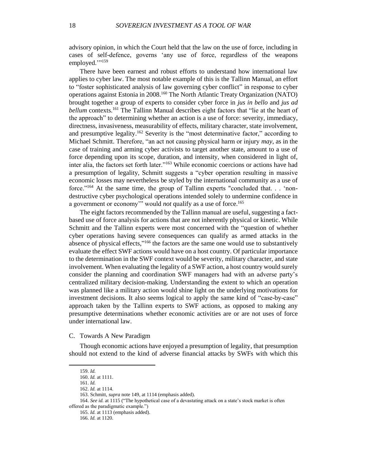advisory opinion, in which the Court held that the law on the use of force, including in cases of self-defence, governs 'any use of force, regardless of the weapons employed.""<sup>159</sup>

There have been earnest and robust efforts to understand how international law applies to cyber law. The most notable example of this is the Tallinn Manual, an effort to "foster sophisticated analysis of law governing cyber conflict" in response to cyber operations against Estonia in 2008.<sup>160</sup> The North Atlantic Treaty Organization (NATO) brought together a group of experts to consider cyber force in *jus in bello* and *jus ad bellum* contexts.<sup>161</sup> The Tallinn Manual describes eight factors that "lie at the heart of the approach" to determining whether an action is a use of force: severity, immediacy, directness, invasiveness, measurability of effects, military character, state involvement, and presumptive legality.<sup>162</sup> Severity is the "most determinative factor," according to Michael Schmitt. Therefore, "an act not causing physical harm or injury *may*, as in the case of training and arming cyber activists to target another state, amount to a use of force depending upon its scope, duration, and intensity, when considered in light of, inter alia, the factors set forth later."<sup>163</sup> While economic coercions or actions have had a presumption of legality, Schmitt suggests a "cyber operation resulting in massive economic losses may nevertheless be styled by the international community as a use of force."<sup>164</sup> At the same time, the group of Tallinn experts "concluded that. . . 'nondestructive cyber psychological operations intended solely to undermine confidence in a government or economy'" would *not* qualify as a use of force.<sup>165</sup>

The eight factors recommended by the Tallinn manual are useful, suggesting a factbased use of force analysis for actions that are not inherently physical or kinetic. While Schmitt and the Tallinn experts were most concerned with the "question of whether cyber operations having severe consequences can qualify as armed attacks in the absence of physical effects," <sup>166</sup> the factors are the same one would use to substantively evaluate the effect SWF actions would have on a host country. Of particular importance to the determination in the SWF context would be severity, military character, and state involvement. When evaluating the legality of a SWF action, a host country would surely consider the planning and coordination SWF managers had with an adverse party's centralized military decision-making. Understanding the extent to which an operation was planned like a military action would shine light on the underlying motivations for investment decisions. It also seems logical to apply the same kind of "case-by-case" approach taken by the Tallinn experts to SWF actions, as opposed to making any presumptive determinations whether economic activities are or are not uses of force under international law.

C. Towards A New Paradigm

Though economic actions have enjoyed a presumption of legality, that presumption should not extend to the kind of adverse financial attacks by SWFs with which this

 $\overline{a}$ 

165. *Id.* at 1113 (emphasis added).

166. *Id.* at 1120.

<sup>159.</sup> *Id.*

<sup>160.</sup> *Id.* at 1111.

<sup>161.</sup> *Id.*

<sup>162.</sup> *Id.* at 1114.

<sup>163.</sup> Schmitt, *supra* note 149, at 1114 (emphasis added).

<sup>164.</sup> *See id.* at 1115 ("The hypothetical case of a devastating attack on a state's stock market is often offered as the paradigmatic example.")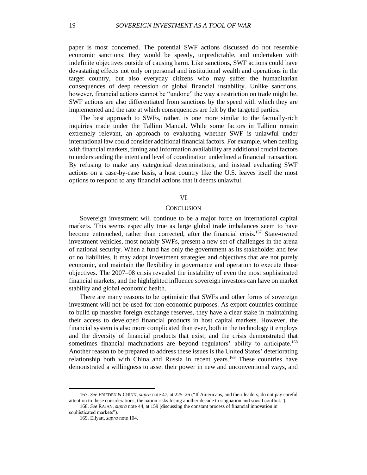paper is most concerned. The potential SWF actions discussed do not resemble economic sanctions: they would be speedy, unpredictable, and undertaken with indefinite objectives outside of causing harm. Like sanctions, SWF actions could have devastating effects not only on personal and institutional wealth and operations in the target country, but also everyday citizens who may suffer the humanitarian consequences of deep recession or global financial instability. Unlike sanctions, however, financial actions cannot be "undone" the way a restriction on trade might be. SWF actions are also differentiated from sanctions by the speed with which they are implemented and the rate at which consequences are felt by the targeted parties.

The best approach to SWFs, rather, is one more similar to the factually-rich inquiries made under the Tallinn Manual. While some factors in Tallinn remain extremely relevant, an approach to evaluating whether SWF is unlawful under international law could consider additional financial factors. For example, when dealing with financial markets, timing and information availability are additional crucial factors to understanding the intent and level of coordination underlined a financial transaction. By refusing to make any categorical determinations, and instead evaluating SWF actions on a case-by-case basis, a host country like the U.S. leaves itself the most options to respond to any financial actions that it deems unlawful.

# VI

# **CONCLUSION**

Sovereign investment will continue to be a major force on international capital markets. This seems especially true as large global trade imbalances seem to have become entrenched, rather than corrected, after the financial crisis.<sup>167</sup> State-owned investment vehicles, most notably SWFs, present a new set of challenges in the arena of national security. When a fund has only the government as its stakeholder and few or no liabilities, it may adopt investment strategies and objectives that are not purely economic, and maintain the flexibility in governance and operation to execute those objectives. The 2007–08 crisis revealed the instability of even the most sophisticated financial markets, and the highlighted influence sovereign investors can have on market stability and global economic health.

There are many reasons to be optimistic that SWFs and other forms of sovereign investment will not be used for non-economic purposes. As export countries continue to build up massive foreign exchange reserves, they have a clear stake in maintaining their access to developed financial products in host capital markets. However, the financial system is also more complicated than ever, both in the technology it employs and the diversity of financial products that exist, and the crisis demonstrated that sometimes financial machinations are beyond regulators' ability to anticipate.<sup>168</sup> Another reason to be prepared to address these issues is the United States' deteriorating relationship both with China and Russia in recent years.<sup>169</sup> These countries have demonstrated a willingness to asset their power in new and unconventional ways, and

<sup>167.</sup> *See* FRIEDEN & CHINN, *supra* note 47, at 225–26 ("If Americans, and their leaders, do not pay careful attention to these considerations, the nation risks losing another decade to stagnation and social conflict."). 168. *See* RAJAN, *supra* note 44, at 159 (discussing the constant process of financial innovation in

sophisticated markets").

<sup>169.</sup> Ellyatt, *supra* note 104.